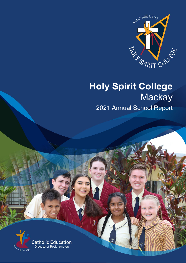

# **Holy Spirit College Mackay**

2021 Annual School Report

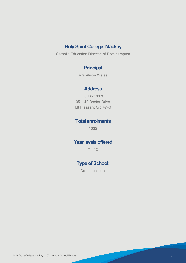# **Holy Spirit College, Mackay**

Catholic Education Diocese of Rockhampton

# **Principal**

Mrs Alison Wales

## **Address**

PO Box 8070 35 – 49 Baxter Drive Mt Pleasant Qld 4740

## **Total enrolments**

1033

## **Year levels offered**

7 - 12

# **Type of School:**

Co-educational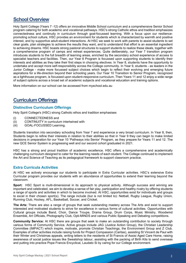## **School Overview**

Holy Spirit College (Years 7 -12) offers an innovative Middle School curriculum and a comprehensive Senior School program catering for both academic and vocational pathways. HSC's strong Catholic ethos and tradition emphasizes connectedness and continuity in curriculum through goal-focussed learning. With a focus upon our resiliencepromoting school culture, HSC provides an environment for students which is characterized by warmth and positive interest, and by supportive adult-student interactions. At HSC we seek to work with parents to assist students to set clear goals, plan strategies to achieve the results they want, and to understand that effort is an essential ingredient to achieving dreams. HSC boasts strong pastoral structures to support students to realize these ideals, together with a comprehensive program of camps and retreat experiences. Quite deliberately, our Year 7 transition program introduces students to the full breadth of learning areas, enriched by the secondary school experience of access to specialist teachers and facilities. Then, our Year 8 Program is focussed upon supporting students to identify their interests and abilities as they take their first steps in choosing electives. In Year 8, students have the opportunity to undertake and accept more self-responsibility across the College community. In Year 9, students - as leaders in the Junior College - make more focussed subject choices which begin to reflect their evolving and emerging future aspirations for a life-direction beyond their schooling years. Our Year 10 Transition to Senior Program, recognized as a lighthouse program, is focussed upon student-responsive curriculum. Then Years 11 and 12 enjoy a wide range of subject options across a broad set of academic subjects and vocational education and training options.

More information on our school can be accessed from myschool.edu.au

## **Curriculum Offerings**

#### **Distinctive Curriculum Offerings**

Holy Spirit College's (HSC) strong Catholic ethos and tradition emphasises

- (i) CONNECTEDNESS and
- (ii) CONTINUITY in curriculum intertwined with<br>(iii) GOAL-FOCUSSED Learning.
- GOAL-FOCUSSED Learning.

Students transition into secondary schooling from Year 7 and experience a very broad curriculum. In Year 8, then, Students begin to refine their interests in relation to their abilities so that in Year 9 they can begin to make limited decisions in preparation for our Year 10 'Pathways into Senior' Program, as they prepare for Years 11 and 12. The new QCE Senior System is progressing well and our second cohort graduated in 2021.

HSC has a strong and proud tradition of academic excellence. HSC offers a comprehensive and academically challenging curriculum designed to cater for the learning needs of each student. The College continued to implement the Art and Science of Teaching as its pedagogical framework to support classroom practice.

#### **Extra Curricula Activities**

At HSC we actively encourage our students to participate in Extra Curricular activities. HSC's extensive Extra Curricular program provides our students with an abundance of opportunities to extend their learning beyond the classroom.

**Sport:** HSC Sport is multi-dimensional in its approach to physical activity. Although success and winning are important and celebrated, we aim to develop a sense of fair play, participation and healthy rivalry by offering students a range of sports and activities in which to become involved. At HSC, opportunities exist for individuals and groups to excel in their chosen sport(s). The range include (but is not limited to): Netball, Rugby League, Rugby Union, Running Club, Hockey, AFL, Basketball, Soccer, and Cricket.

**The Arts:** There are also a range of groups that seek outstanding mastery across The Arts and exist to support interested and motivated students to strive for excellence in various forms of cultural activities. Opportunities with Cultural groups include Band, Choir, Dance Troupe, Drama Group, Drum Corps, Music Ministry, Woodwind Ensemble, Art Officials, Photography Club, Opti-MINDS and various Public Speaking and Debating competitions.

**Community Service:** At HSC there are groups that seek to make an outstanding contribution to society through various forms of Community Service. Active groups include JAG (Justice Action Group), the Christian Leadership Committee (IMPACT) which inspire, motivate, promote Christian Teachings, the Environment Group and Z Club. Examples of other activities include raising funds for Project Compassion (Caritas), assisting St Vincent de Paul with their Winter and Christmas appeals, writing letters to the residents of St Francis of Assisi Aged Care Home, raising awareness of social justice issues like Sweatshop labour, assisting with the packing of Birth Kits to send overseas and putting into practice Pope Francis Encyclical, Laudato Si by caring for our College environment.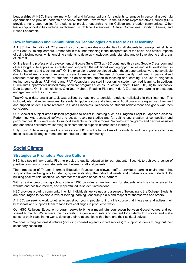**Leadership:** At HSC, there are many formal and informal options for students to engage in personal growth via opportunities to provide leadership to fellow students. Involvement in the Student Representative Council (SRC) provides many opportunities for students to provide leadership to the College and broader communities. Other leadership opportunities include involvement in College Assemblies, Cultural Committees, Sporting Teams, and House Leadership.

#### **How Information and Communication Technologies are used to assist learning**

At HSC, the integration of ICT across the curriculum provides opportunities for all students to develop their skills as 21st Century lifelong learners. Embedded in this understanding is the incorporation of the social and ethical impacts of using technologies whilst enabling students to develop knowledge, understanding and skills related to their areas of interest.

Online learning professional development of Google Suite ICTS at HSC continued this year. Google Classroom and other Google suite applications created and supported the additional learning opportunities and skill development in ICTs of students and teaching staff. Online excursions were developed when these opportunities were not available due to travel restrictions or regional access to resources. The use of Screencastify continued in personalised recorded teaching lessons for students as an additional support in teaching and learning. The use of diagnostic testing tools such as PAT Maths and PAT Vocabulary assisted in designing student-centred learning. In addition, Curriculum Departments utilised many software programs such as Education Perfect, BrainPOP, Digital Textbooks, Data Loggers, On-line simulations, OneNote, Kahoot, Reading Plus and Kids A-Z to support learning and student engagement with the curriculum.

TrackOne, a data analytical tool, was utilised by teachers to consider students holistically in their learning. This included, internal and external results, studentship, behaviour and attendance. Additionally, strategies used to extend and support students were recorded in Class Placemats. Reflection on student achievement and goals was then considered.

Our Specialist subject areas utilised programs to assist in learning such as Hiragana Script in Japanese classes. Performing Arts accessed software to act as recording studios and for editing and creation of composition and performances. ICTs were used to support students within classrooms. Voice-to-text programs and devices assisted and enhanced collaborative learning in classrooms to support differentiated learning.

Holy Spirit College recognises the significance of ICTs in the future lives of its students and the importance to have these skills as lifelong learners and contributors to the community.

## **Social Climate**

#### **Strategies to Promote a Positive Culture**

HSC has two primary goals. First, to provide a quality education for our students. Second, to achieve a sense of positive community for our students and between staff and parents.

The introduction of Trauma Informed Education Practice has allowed staff to provide a learning environment that supports the wellbeing of all students, by understanding the individual needs and challenges of each student. By building positive relationships, we cater for the diverse needs of all learners.

With a resilience-promoting school culture, HSC provides an environment for students which is characterised by warmth and positive interest, and respectful adult-student interactions.

HSC provides a caring community in which individuals feel valued and a sense of belonging to the College. Students are encouraged to develop a love of lifelong learning, leadership skills and respect for themselves and others.

At HSC, we seek to work together to assist our young people to find a life course that integrates and utilises their best ideals and supports them to face life's challenges in productive ways.

Our HSC Religious Education program seeks to bring a meaningful connection between Gospel values and our shared humanity. We achieve this by creating a gentle and safe environment for students to discover and make sense of their place in the world, develop their relationships with others and their spiritual selves.

We boast strong pastoral structures (including counselling and support services) to support students throughout their secondary schooling.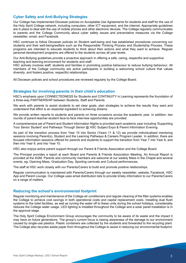#### **Cyber Safety and Anti-Bullying Strategies**

Our College has implemented Diocesan policies on Acceptable Use Agreements for students and staff for the use of the Holy Spirit College network, including computers, other ICT equipment, and the internet. Appropriate guidelines are in place to deal with the use of mobile phones and other electronic devices. The College regularly communicates to parents and the College Community about cyber safety issues and preventative measures via the College newsletter, email, and Facebook.

HSC continues to follow Diocesan policies on Student well-being and has established procedures concerning our students and their well-being/welfare such as the Responsible Thinking Process and Studentship Process. These programs are intended to educate students to think about their actions and what they want to achieve. Regular personal development programs are offered to the students across all year levels.

Our Anti-Bullying guidelines provide a proactive approach in offering a safe, caring, respectful and supportive teaching and learning environment for students and staff.

HSC actively involves staff, students and families in promoting positive behaviour to reduce bullying behaviour. All members of the College community are active participants in building a welcoming school culture that values diversity, and fosters positive, respectful relationships.

All Diocesan policies and school procedures are reviewed regularly by the College Board.

#### **Strategies for involving parents in their child's education**

HSC's emphasis upon CONNECTEDNESS for Students and CONTINUITY in Learning represents the foundation of a three-way PARTNERSHIP between Students, Staff and Parents.

We work with parents to assist students to set clear goals, plan strategies to achieve the results they want and understand that effort is an essential ingredient to achieving dreams.

We provide written reports to students and parents on three occasions across the academic year. In addition, two rounds of parent-teacher-student face-to-face interview opportunities are provided.

A comprehensive set of Parent and Student Information Nights is provided each academic year including 'Supporting Your Senior Student' and Pathways Through Senior @ HSC Subject Expo & Parent Information Evening.

As part of the transition process from Year 10 into Senior (Years 11 & 12) we provide individualised mentoring sessions involving Parent(s), Student and the Learning Pathways & Careers Program Leader. In addition, there are focused information sessions offered for parents and students to support the transition from Year 7 into Year 8, and then into Year 9, and into Year 10.

HSC also enjoys active parent support through our Parent & Friends Association and the College Board.

The Principal provides a report at each Board and Parents & Friends Association Meeting. An Annual Report is provided at the AGM. Parents and community members are welcome at our weekly Mass in the Chapel and several events, eg. Opening Mass, Graduation Day, Sporting carnivals and Cultural performances.

The staff at HSC work closely with our Parents/Carers to build and promote positive relationships.

Regular communication is maintained with Parents/Carers through our weekly newsletter, website, Facebook, HSC App and Parent Lounge. Our College uses email distribution lists to provide timely information to our Parents/Carers on a range of matters.

#### **Reducing the school's environmental footprint**

Regular monitoring and maintenance of the College air conditioners and regular cleaning of the filter systems enables the College to achieve cost savings in both operational costs and capital replacement costs. Installing dual flush systems to the toilet facilities, as well as turning the water off to these units during the school holidays, considerably reduces the College water usage. LED lighting is installed throughout the College and a solar panel installation is in the approval stage.

The Holy Spirit College Environment Group encourages the community to be aware of its waste and the impact it may have on future generations. The group's current focus is raising awareness of the damage to our environment caused by single-use plastics. Plastic containers are collected by the students and forwarded to the recycling plant. The College also recycles waste paper from throughout the College to assist in reducing our environmental footprint.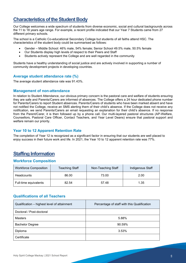## **Characteristics of the Student Body**

Our College welcomes a wide spectrum of students from diverse economic, social and cultural backgrounds across the 11 to 18 years age range. For example, a recent profile indicated that our Year 7 Students came from 27 different primary schools.

The school is a Catholic Co-educational Secondary College but students of all faiths attend HSC. The characteristics of the student body could be summarised as follows:

- Gender Middle School: 46% male, 54% female; Senior School 49.5% male, 50.5% female
- Our Students display high levels of respect to their Peers and Staff
- Students actively represent the College and are well regarded in the community

Students have a healthy understanding of social justice and are actively involved in supporting a number of community development projects in developing countries.

#### **Average student attendance rate (%)**

The average student attendance rate was 91.43%.

#### **Management of non-attendance**

In relation to Student Attendance, our obvious primary concern is the pastoral care and welfare of students ensuring they are safe and Parents/Carers are informed of absences. The College offers a 24 hour dedicated phone number for Parents/Carers to report Student absences. Parents/Carers of students who have been marked absent and have not notified the College, receive an SMS alerting them of their child's absence. If the College does not receive any notification, we send Parents/Carers an email requesting an explanation for their child's absence. If no response from the Parent/Carer, it is then followed up by a phone call. Our multi-layered pastoral structures (AP-Welfare, Counsellors, Pastoral Care Officer, Contact Teachers, and Year Level Deans) ensure that pastoral support and welfare remain our priority.

#### **Year 10 to 12 Apparent Retention Rate**

The completion of Year 12 is recognized as a significant factor in ensuring that our students are well placed to enjoy success in their future work and life. In 2021, the Year 10 to 12 apparent retention rate was 77%.

## **Staffing Information**

#### **Workforce Composition**

| <b>Workforce Composition</b> | <b>Teaching Staff</b> | Non-Teaching Staff | Indigenous Staff |
|------------------------------|-----------------------|--------------------|------------------|
| <b>Headcounts</b>            | 86.00                 | 73.00              | 2.00             |
| Full-time equivalents        | 82.54                 | 57.48              | 1.35             |

#### **Qualifications of all Teachers**

| Qualification - highest level of attainment | Percentage of staff with this Qualification |  |
|---------------------------------------------|---------------------------------------------|--|
| Doctoral / Post-doctoral                    |                                             |  |
| <b>Masters</b>                              | 5.88%                                       |  |
| <b>Bachelor Degree</b>                      | 90.59%                                      |  |
| Diploma                                     | 3.53%                                       |  |
| Certificate                                 |                                             |  |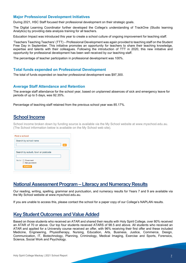#### **Major Professional Development Initiatives**

During 2021, HSC Staff focused their professional development on their strategic goals.

The Digital Learning Coordinator further developed the College's understanding of TrackOne (Studio learning Analytics) by providing data analysis training for all teachers.

Education Impact was introduced this year to create a school culture of ongoing improvement for teaching staff.

'Teachers Teaching Teachers' (TTT) – Professional Development was again provided to teaching staff on the Student Free Day in September. This initiative promotes an opportunity for teachers to share their teaching knowledge, expertise and talents with their colleagues. Following the introduction of TTT in 2020, this new initiative and opportunity for professional development has been well received by our teaching staff.

The percentage of teacher participation in professional development was 100%.

#### **Total funds expended on Professional Development**

The total of funds expended on teacher professional development was \$97,300.

#### **Average Staff Attendance and Retention**

The average staff attendance for the school year, based on unplanned absences of sick and emergency leave for periods of up to 5 days, was 92.35%.

Percentage of teaching staff retained from the previous school year was 85.17%.

## **School Income**

School income broken down by funding source is available via the My School website at www.myschool.edu.au. (The School information below is available on the My School web site).

| <b>Find a school</b>               |    |  |
|------------------------------------|----|--|
| Search by school name              |    |  |
|                                    | GO |  |
|                                    |    |  |
| Search by suburb, town or postcode |    |  |
| Sector <b>Government</b>           |    |  |
| Non-government                     |    |  |
| <b>SEARCH</b>                      |    |  |
|                                    |    |  |

## **National Assessment Program – Literacy and Numeracy Results**

Our reading, writing, spelling, grammar and punctuation, and numeracy results for Years 7 and 9 are available via the My School website at www.myschool.edu.au.

If you are unable to access this, please contact the school for a paper copy of our College's NAPLAN results.

## **Key Student Outcomes and Value Added**

Based on those students who received an ATAR and shared their results with Holy Spirit College, over 80% received an ATAR of 70 or above. Our top four students received ATARS of 98.5 and above. All students who received an ATAR and applied for a University course received an offer, with 96% receiving their first offer and these included Medicine, Engineering, Physiotherapy, Nursing, Education, Arts, Business, Justice, Commerce, Design, Communication, IT, Biotechnology, Planning, Criminology, Medical Imaging, Exercise and Sports, Forensics, Science, Social Work and Psychology.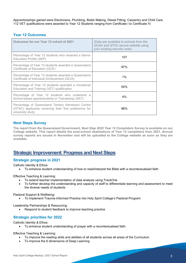Apprenticeships gained were Electricians, Plumbing, Boiler Making, Diesel Fitting, Carpentry and Child Care. 112 VET qualifications were awarded to Year 12 Students ranging from Certificate I to Certificate IV.

#### **Year 12 Outcomes**

| Outcomes for our Year 12 cohort of 2021                                                                                          | (Data are available to schools from the<br>QCAA and QTAC secure website using<br>your existing security code) |
|----------------------------------------------------------------------------------------------------------------------------------|---------------------------------------------------------------------------------------------------------------|
| Percentage of Year 12 students who received a Senior<br>Education Profile (SEP)                                                  | 107                                                                                                           |
| Percentage of Year 12 students awarded a Queensland<br>Certificate of Education (QCE)                                            | 97%                                                                                                           |
| Percentage of Year 12 students awarded a Queensland<br>Certificate of Individual Achievement (QCIA)                              | $1\%$                                                                                                         |
| Percentage of Year 12 students awarded a Vocational<br>Education and Training (VET) qualification                                | 54%                                                                                                           |
| Percentage of Year 12 students who undertook a<br>School-based apprenticeship or Traineeship (SAT)                               | 4%                                                                                                            |
| Percentage of Queensland Tertiary Admission Centre<br>(QTAC) applicants receiving their first preference for<br>university study | 96%                                                                                                           |

#### **Next Steps Survey**

**The report from the Queensland Government,** *Next Step 2022 Year 12 Completers Survey* **is available on our College website. This report details the post-school destinations of Year 12 completers from 2021. Annual survey reports are issued in November and will be uploaded to the College website as soon as they are available.**

### **Strategic Improvement: Progress and Next Steps**

#### **Strategic progress in 2021**

Catholic Identity & Ethos:

• To enhance student understanding of how to read/interpret the Bible with a recontextualised faith

Effective Teaching & Learning:

- To extend teacher implementation of data analysis using TrackOne
- To further develop the understanding and capacity of staff to differentiate learning and assessment to meet the diverse needs of students

Pastoral Support & Wellbeing:

• To implement Trauma-Informed Practice into Holy Spirit College's Pastoral Program

Leadership Partnerships & Resourcing:

• Respond to student feedback to improve teaching practice

#### **Strategic priorities for 2022**

Catholic Identity & Ethos:

• To enhance student understanding of prayer with a recontextualised faith

Effective Teaching & Learning:

- To improve the reading skills and abilities of all students across all areas of the Curriculum
- To improve the 6 dimensions of Deep Learning